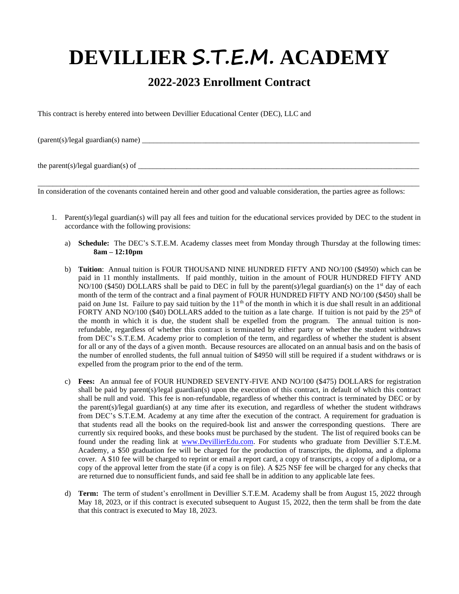# **DEVILLIER S.T.E.M. ACADEMY**

# **2022-2023 Enrollment Contract**

This contract is hereby entered into between Devillier Educational Center (DEC), LLC and

 $(parent(s)/legal\;guardian(s)\;name)$ 

the parent(s)/legal guardian(s) of  $\frac{1}{\sqrt{1-\frac{1}{2}}\sqrt{1-\frac{1}{2}}\sqrt{1-\frac{1}{2}}\sqrt{1-\frac{1}{2}}\sqrt{1-\frac{1}{2}}}}$ 

In consideration of the covenants contained herein and other good and valuable consideration, the parties agree as follows:

\_\_\_\_\_\_\_\_\_\_\_\_\_\_\_\_\_\_\_\_\_\_\_\_\_\_\_\_\_\_\_\_\_\_\_\_\_\_\_\_\_\_\_\_\_\_\_\_\_\_\_\_\_\_\_\_\_\_\_\_\_\_\_\_\_\_\_\_\_\_\_\_\_\_\_\_\_\_\_\_\_\_\_\_\_\_\_\_\_\_\_\_\_\_\_\_\_\_\_\_\_\_

- 1. Parent(s)/legal guardian(s) will pay all fees and tuition for the educational services provided by DEC to the student in accordance with the following provisions:
	- a) **Schedule:** The DEC's S.T.E.M. Academy classes meet from Monday through Thursday at the following times: **8am – 12:10pm**
	- b) **Tuition**: Annual tuition is FOUR THOUSAND NINE HUNDRED FIFTY AND NO/100 (\$4950) which can be paid in 11 monthly installments. If paid monthly, tuition in the amount of FOUR HUNDRED FIFTY AND NO/100 (\$450) DOLLARS shall be paid to DEC in full by the parent(s)/legal guardian(s) on the 1<sup>st</sup> day of each month of the term of the contract and a final payment of FOUR HUNDRED FIFTY AND NO/100 (\$450) shall be paid on June 1st. Failure to pay said tuition by the  $11<sup>th</sup>$  of the month in which it is due shall result in an additional FORTY AND NO/100 (\$40) DOLLARS added to the tuition as a late charge. If tuition is not paid by the  $25<sup>th</sup>$  of the month in which it is due, the student shall be expelled from the program. The annual tuition is nonrefundable, regardless of whether this contract is terminated by either party or whether the student withdraws from DEC's S.T.E.M. Academy prior to completion of the term, and regardless of whether the student is absent for all or any of the days of a given month. Because resources are allocated on an annual basis and on the basis of the number of enrolled students, the full annual tuition of \$4950 will still be required if a student withdraws or is expelled from the program prior to the end of the term.
	- c) **Fees:** An annual fee of FOUR HUNDRED SEVENTY-FIVE AND NO/100 (\$475) DOLLARS for registration shall be paid by parent(s)/legal guardian(s) upon the execution of this contract, in default of which this contract shall be null and void. This fee is non-refundable, regardless of whether this contract is terminated by DEC or by the parent(s)/legal guardian(s) at any time after its execution, and regardless of whether the student withdraws from DEC's S.T.E.M. Academy at any time after the execution of the contract. A requirement for graduation is that students read all the books on the required-book list and answer the corresponding questions. There are currently six required books, and these books must be purchased by the student. The list of required books can be found under the reading link at [www.DevillierEdu.com.](http://www.devillieredu.com/) For students who graduate from Devillier S.T.E.M. Academy, a \$50 graduation fee will be charged for the production of transcripts, the diploma, and a diploma cover. A \$10 fee will be charged to reprint or email a report card, a copy of transcripts, a copy of a diploma, or a copy of the approval letter from the state (if a copy is on file). A \$25 NSF fee will be charged for any checks that are returned due to nonsufficient funds, and said fee shall be in addition to any applicable late fees.
	- d) **Term:** The term of student's enrollment in Devillier S.T.E.M. Academy shall be from August 15, 2022 through May 18, 2023, or if this contract is executed subsequent to August 15, 2022, then the term shall be from the date that this contract is executed to May 18, 2023.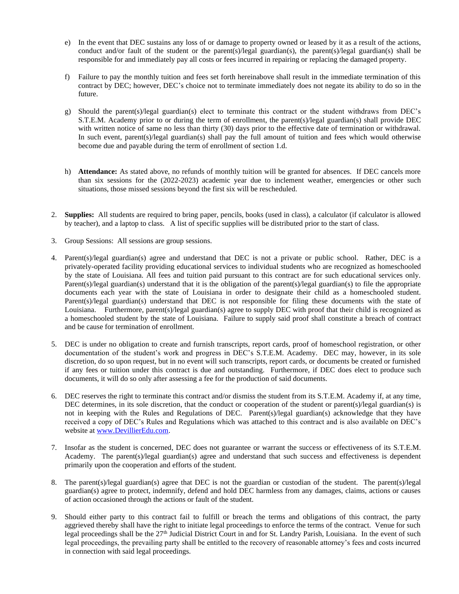- e) In the event that DEC sustains any loss of or damage to property owned or leased by it as a result of the actions, conduct and/or fault of the student or the parent(s)/legal guardian(s), the parent(s)/legal guardian(s) shall be responsible for and immediately pay all costs or fees incurred in repairing or replacing the damaged property.
- f) Failure to pay the monthly tuition and fees set forth hereinabove shall result in the immediate termination of this contract by DEC; however, DEC's choice not to terminate immediately does not negate its ability to do so in the future.
- g) Should the parent(s)/legal guardian(s) elect to terminate this contract or the student withdraws from DEC's S.T.E.M. Academy prior to or during the term of enrollment, the parent(s)/legal guardian(s) shall provide DEC with written notice of same no less than thirty (30) days prior to the effective date of termination or withdrawal. In such event, parent(s)/legal guardian(s) shall pay the full amount of tuition and fees which would otherwise become due and payable during the term of enrollment of section 1.d.
- h) **Attendance:** As stated above, no refunds of monthly tuition will be granted for absences. If DEC cancels more than six sessions for the (2022-2023) academic year due to inclement weather, emergencies or other such situations, those missed sessions beyond the first six will be rescheduled.
- 2. **Supplies:** All students are required to bring paper, pencils, books (used in class), a calculator (if calculator is allowed by teacher), and a laptop to class. A list of specific supplies will be distributed prior to the start of class.
- 3. Group Sessions: All sessions are group sessions.
- 4. Parent(s)/legal guardian(s) agree and understand that DEC is not a private or public school. Rather, DEC is a privately-operated facility providing educational services to individual students who are recognized as homeschooled by the state of Louisiana. All fees and tuition paid pursuant to this contract are for such educational services only. Parent(s)/legal guardian(s) understand that it is the obligation of the parent(s)/legal guardian(s) to file the appropriate documents each year with the state of Louisiana in order to designate their child as a homeschooled student. Parent(s)/legal guardian(s) understand that DEC is not responsible for filing these documents with the state of Louisiana. Furthermore, parent(s)/legal guardian(s) agree to supply DEC with proof that their child is recognized as a homeschooled student by the state of Louisiana. Failure to supply said proof shall constitute a breach of contract and be cause for termination of enrollment.
- 5. DEC is under no obligation to create and furnish transcripts, report cards, proof of homeschool registration, or other documentation of the student's work and progress in DEC's S.T.E.M. Academy. DEC may, however, in its sole discretion, do so upon request, but in no event will such transcripts, report cards, or documents be created or furnished if any fees or tuition under this contract is due and outstanding. Furthermore, if DEC does elect to produce such documents, it will do so only after assessing a fee for the production of said documents.
- 6. DEC reserves the right to terminate this contract and/or dismiss the student from its S.T.E.M. Academy if, at any time, DEC determines, in its sole discretion, that the conduct or cooperation of the student or parent(s)/legal guardian(s) is not in keeping with the Rules and Regulations of DEC. Parent(s)/legal guardian(s) acknowledge that they have received a copy of DEC's Rules and Regulations which was attached to this contract and is also available on DEC's website at [www.DevillierEdu.com.](http://www.devillieredu.com/)
- 7. Insofar as the student is concerned, DEC does not guarantee or warrant the success or effectiveness of its S.T.E.M. Academy. The parent(s)/legal guardian(s) agree and understand that such success and effectiveness is dependent primarily upon the cooperation and efforts of the student.
- 8. The parent(s)/legal guardian(s) agree that DEC is not the guardian or custodian of the student. The parent(s)/legal guardian(s) agree to protect, indemnify, defend and hold DEC harmless from any damages, claims, actions or causes of action occasioned through the actions or fault of the student.
- 9. Should either party to this contract fail to fulfill or breach the terms and obligations of this contract, the party aggrieved thereby shall have the right to initiate legal proceedings to enforce the terms of the contract. Venue for such legal proceedings shall be the 27th Judicial District Court in and for St. Landry Parish, Louisiana. In the event of such legal proceedings, the prevailing party shall be entitled to the recovery of reasonable attorney's fees and costs incurred in connection with said legal proceedings.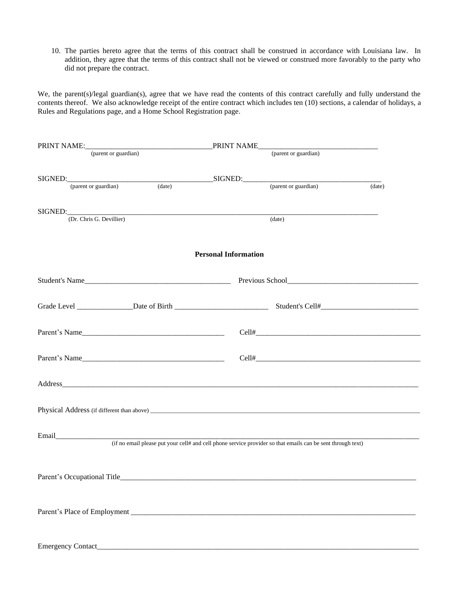10. The parties hereto agree that the terms of this contract shall be construed in accordance with Louisiana law. In addition, they agree that the terms of this contract shall not be viewed or construed more favorably to the party who did not prepare the contract.

We, the parent(s)/legal guardian(s), agree that we have read the contents of this contract carefully and fully understand the contents thereof. We also acknowledge receipt of the entire contract which includes ten (10) sections, a calendar of holidays, a Rules and Regulations page, and a Home School Registration page.

| (parent or guardian)                |        |                             | PRINT NAME<br>(parent or guardian)                                                                          |        |
|-------------------------------------|--------|-----------------------------|-------------------------------------------------------------------------------------------------------------|--------|
|                                     |        |                             |                                                                                                             |        |
|                                     |        |                             |                                                                                                             |        |
| (parent or guardian)                | (data) |                             | (parent or guardian)                                                                                        | (date) |
|                                     |        |                             |                                                                                                             |        |
| SIGNED:<br>(Dr. Chris G. Devillier) |        |                             |                                                                                                             |        |
|                                     |        |                             | (date)                                                                                                      |        |
|                                     |        |                             |                                                                                                             |        |
|                                     |        | <b>Personal Information</b> |                                                                                                             |        |
|                                     |        |                             |                                                                                                             |        |
| Student's Name                      |        |                             |                                                                                                             |        |
|                                     |        |                             |                                                                                                             |        |
|                                     |        |                             |                                                                                                             |        |
|                                     |        |                             |                                                                                                             |        |
| Parent's Name                       |        |                             |                                                                                                             |        |
|                                     |        |                             |                                                                                                             |        |
|                                     |        |                             |                                                                                                             |        |
|                                     |        |                             |                                                                                                             |        |
|                                     |        |                             |                                                                                                             |        |
|                                     |        |                             |                                                                                                             |        |
|                                     |        |                             |                                                                                                             |        |
|                                     |        |                             |                                                                                                             |        |
|                                     |        |                             |                                                                                                             |        |
|                                     |        |                             |                                                                                                             |        |
|                                     |        |                             | (if no email please put your cell# and cell phone service provider so that emails can be sent through text) |        |
|                                     |        |                             |                                                                                                             |        |
|                                     |        |                             |                                                                                                             |        |
|                                     |        |                             |                                                                                                             |        |
|                                     |        |                             |                                                                                                             |        |
|                                     |        |                             |                                                                                                             |        |
|                                     |        |                             |                                                                                                             |        |
|                                     |        |                             |                                                                                                             |        |
|                                     |        |                             |                                                                                                             |        |
|                                     |        |                             |                                                                                                             |        |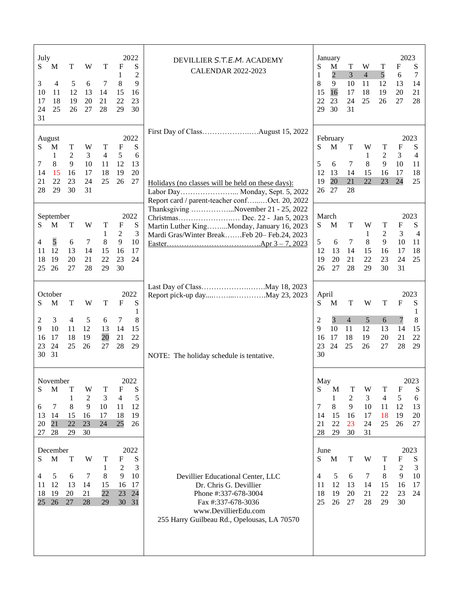| July<br>S<br>M<br>T<br>5<br>3<br>$\overline{4}$<br>12<br>10<br>11<br>18<br>19<br>17<br>25<br>26<br>24<br>31                 | W<br>T<br>6<br>7<br>13<br>14<br>20<br>21<br>28<br>27                    | 2022<br>F<br>S<br>$\overline{2}$<br>1<br>9<br>8<br>15<br>16<br>23<br>22<br>29<br>30               | DEVILLIER S.T.E.M. ACADEMY<br><b>CALENDAR 2022-2023</b>                                                                                                                                                                                                                   | S<br>1<br>8<br>15<br>22<br>29          | January<br>M<br>$\overline{c}$<br>9<br>16<br>23<br>30 | T<br>3<br>10<br>17<br>24<br>31                       | W<br>$\overline{4}$<br>11<br>18<br>25 | Т<br>5<br>12<br>19<br>26              | 2023<br>F<br>6<br>13<br>20<br>27      | S<br>7<br>14<br>21<br>28                 |
|-----------------------------------------------------------------------------------------------------------------------------|-------------------------------------------------------------------------|---------------------------------------------------------------------------------------------------|---------------------------------------------------------------------------------------------------------------------------------------------------------------------------------------------------------------------------------------------------------------------------|----------------------------------------|-------------------------------------------------------|------------------------------------------------------|---------------------------------------|---------------------------------------|---------------------------------------|------------------------------------------|
| August<br>T<br>S<br>М<br>$\mathfrak{2}$<br>$\mathbf 1$<br>8<br>9<br>7<br>15<br>16<br>14<br>22<br>23<br>21<br>29<br>30<br>28 | W<br>T<br>3<br>$\overline{4}$<br>10<br>11<br>18<br>17<br>25<br>24<br>31 | 2022<br>$\mathbf{F}$<br>S<br>5 <sup>5</sup><br>6<br>12<br>13<br>20<br>19<br>26<br>27              | Holidays (no classes will be held on these days):<br>Labor Day Monday, Sept. 5, 2022<br>Report card / parent-teacher confOct. 20, 2022<br>Thanksgiving November 21 - 25, 2022<br>Martin Luther KingMonday, January 16, 2023<br>Mardi Gras/Winter BreakFeb 20-Feb.24, 2023 | S<br>5<br>12<br>19                     | February<br>M<br>6<br>13<br>20<br>26 27               | $\mathbf T$<br>7<br>14<br>21<br>28                   | W<br>$\mathbf{1}$<br>8<br>15<br>22    | T<br>$\overline{2}$<br>9<br>16<br>23  | F<br>3<br>10<br>17<br>24              | 2023<br>S<br>4<br>11<br>18<br>25         |
| September<br>S<br>$\mathbf M$<br>T<br>5<br>4<br>6<br>12<br>13<br>11<br>19<br>18<br>20<br>26<br>27<br>25                     | W<br>T<br>1<br>8<br>$\tau$<br>14<br>15<br>21<br>22<br>29<br>28          | 2022<br>$\boldsymbol{\mathrm{F}}$<br>S<br>3<br>2<br>9<br>10<br>17<br>16<br>23<br>24<br>30         |                                                                                                                                                                                                                                                                           | S<br>5<br>12<br>19<br>26               | March<br>M<br>6<br>13<br>20<br>27                     | $\mathbf T$<br>$\tau$<br>14<br>21<br>28              | W<br>1<br>8<br>15<br>22<br>29         | T<br>2<br>9<br>16<br>23<br>30         | F<br>3<br>10<br>17<br>24<br>31        | 2023<br>${\bf S}$<br>4<br>11<br>18<br>25 |
| October<br>S<br>M<br>T<br>3<br>$\overline{4}$<br>2<br>10<br>9<br>11<br>18<br>-17<br>16<br>24<br>25<br>23<br>30 31           | W<br>T<br>5<br>6<br>12<br>13<br>20<br>19<br>26<br>27                    | 2022<br>S<br>$\mathbf{F}$<br>1<br>8<br>7<br>14<br>15<br>22<br>21<br>29<br>28                      | NOTE: The holiday schedule is tentative.                                                                                                                                                                                                                                  | April<br>S<br>2<br>9<br>16<br>23<br>30 | M<br>3<br>10<br>17<br>24                              | $\mathbf T$<br>$\overline{4}$<br>11<br>18<br>25      | W<br>5<br>12<br>19<br>26              | T<br>6<br>13<br>20<br>27              | F<br>$\overline{7}$<br>14<br>21<br>28 | 2023<br>S<br>1<br>8<br>15<br>22<br>29    |
| November<br>S<br>$\mathbf M$<br>T<br>1<br>8<br>7<br>6<br>13<br>14<br>15<br>21<br>22<br>20<br>28<br>29<br>27                 | W<br>T<br>$\overline{c}$<br>3<br>9<br>10<br>17<br>16<br>23<br>24<br>30  | 2022<br>$\boldsymbol{\mathrm{F}}$<br>S<br>$\overline{4}$<br>5<br>12<br>11<br>18<br>19<br>25<br>26 |                                                                                                                                                                                                                                                                           | May<br>S<br>7<br>14<br>21<br>28        | M<br>1<br>8<br>15<br>22<br>29                         | $\mathbf T$<br>$\overline{c}$<br>9<br>16<br>23<br>30 | W<br>3<br>10<br>17<br>24<br>31        | T<br>$\overline{4}$<br>11<br>18<br>25 | F<br>5<br>12<br>19<br>26              | 2023<br>S<br>6<br>13<br>20<br>27         |
| December<br>$\mathbf M$<br>S<br>T<br>5<br>6<br>4<br>12<br>13<br>11<br>19<br>18<br>20<br>26<br>25<br>27                      | W<br>T<br>1<br>7<br>8<br>14<br>15<br>22<br>21<br>28<br>29               | 2022<br>S<br>F<br>3<br>2<br>9<br>10<br>17<br>16<br>23<br>24<br>30<br>31                           | Devillier Educational Center, LLC<br>Dr. Chris G. Devillier<br>Phone #:337-678-3004<br>Fax #:337-678-3036<br>www.DevillierEdu.com<br>255 Harry Guilbeau Rd., Opelousas, LA 70570                                                                                          | June<br>S<br>4<br>11<br>18<br>25       | $\mathbf{M}$<br>5<br>12<br>19<br>26                   | $\mathbf T$<br>6<br>13<br>20<br>27                   | W<br>7<br>14<br>21<br>28              | T<br>1<br>8<br>15<br>22<br>29         | F<br>2<br>9<br>16<br>23<br>30         | 2023<br>S<br>3<br>10<br>17<br>24         |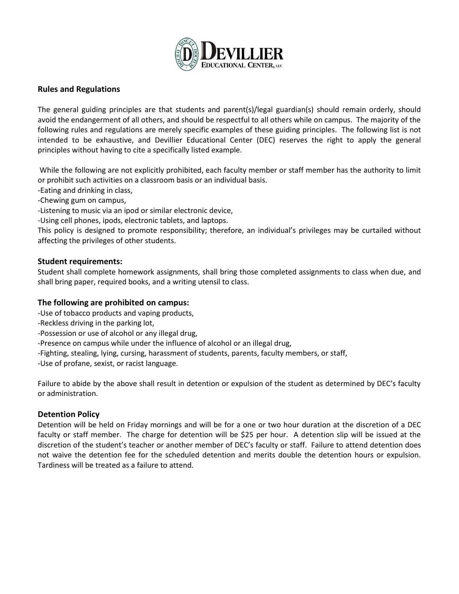

### **Rules and Regulations**

The general guiding principles are that students and parent(s)/legal guardian(s) should remain orderly, should avoid the endangerment of all others, and should be respectful to all others while on campus. The majority of the following rules and regulations are merely specific examples of these guiding principles. The following list is not intended to be exhaustive, and Devillier Educational Center (DEC) reserves the right to apply the general principles without having to cite a specifically listed example.

While the following are not explicitly prohibited, each faculty member or staff member has the authority to limit or prohibit such activities on a classroom basis or an individual basis.

-Eating and drinking in class,

-Chewing gum on campus,

-Listening to music via an ipod or similar electronic device,

-Using cell phones, ipods, electronic tablets, and laptops.

This policy is designed to promote responsibility; therefore, an individual's privileges may be curtailed without affecting the privileges of other students.

#### **Student requirements:**

Student shall complete homework assignments, shall bring those completed assignments to class when due, and shall bring paper, required books, and a writing utensil to class.

## **The following are prohibited on campus:**

- -Use of tobacco products and vaping products,
- -Reckless driving in the parking lot,
- -Possession or use of alcohol or any illegal drug,
- -Presence on campus while under the influence of alcohol or an illegal drug,
- -Fighting, stealing, lying, cursing, harassment of students, parents, faculty members, or staff,
- -Use of profane, sexist, or racist language.

Failure to abide by the above shall result in detention or expulsion of the student as determined by DEC's faculty or administration.

#### **Detention Policy**

Detention will be held on Friday mornings and will be for a one or two hour duration at the discretion of a DEC faculty or staff member. The charge for detention will be \$25 per hour. A detention slip will be issued at the discretion of the student's teacher or another member of DEC's faculty or staff. Failure to attend detention does not waive the detention fee for the scheduled detention and merits double the detention hours or expulsion. Tardiness will be treated as a failure to attend.